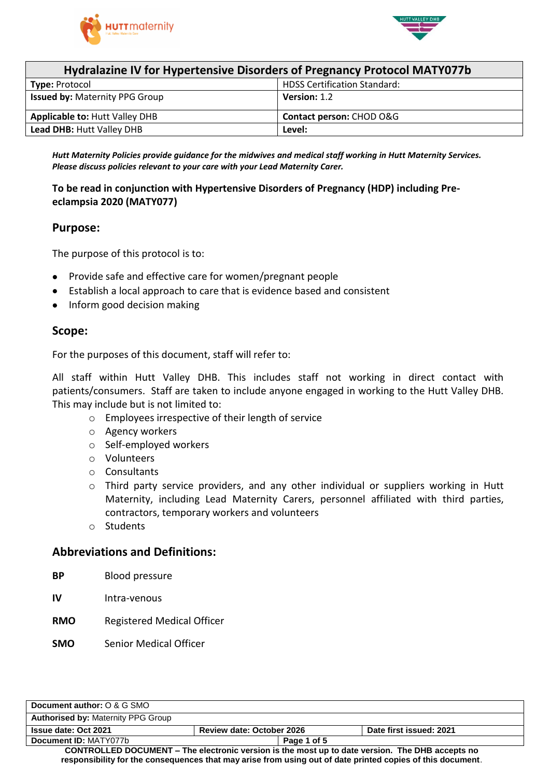



| Hydralazine IV for Hypertensive Disorders of Pregnancy Protocol MATY077b |                                     |  |
|--------------------------------------------------------------------------|-------------------------------------|--|
| Type: Protocol                                                           | <b>HDSS Certification Standard:</b> |  |
| <b>Issued by: Maternity PPG Group</b>                                    | Version: 1.2                        |  |
| <b>Applicable to: Hutt Valley DHB</b>                                    | Contact person: CHOD O&G            |  |
| <b>Lead DHB: Hutt Valley DHB</b>                                         | Level:                              |  |

*Hutt Maternity Policies provide guidance for the midwives and medical staff working in Hutt Maternity Services. Please discuss policies relevant to your care with your Lead Maternity Carer.*

# **To be read in conjunction with Hypertensive Disorders of Pregnancy (HDP) including Preeclampsia 2020 (MATY077)**

## **Purpose:**

The purpose of this protocol is to:

- Provide safe and effective care for women/pregnant people
- Establish a local approach to care that is evidence based and consistent
- Inform good decision making

## **Scope:**

For the purposes of this document, staff will refer to:

All staff within Hutt Valley DHB. This includes staff not working in direct contact with patients/consumers. Staff are taken to include anyone engaged in working to the Hutt Valley DHB. This may include but is not limited to:

- o Employees irrespective of their length of service
- o Agency workers
- o Self-employed workers
- o Volunteers
- o Consultants
- o Third party service providers, and any other individual or suppliers working in Hutt Maternity, including Lead Maternity Carers, personnel affiliated with third parties, contractors, temporary workers and volunteers
- o Students

### **Abbreviations and Definitions:**

- **BP** Blood pressure
- **IV** Intra-venous
- **RMO** Registered Medical Officer
- **SMO** Senior Medical Officer

| Document author: O & G SMO                                                                                                                                                                                    |                                  |                         |
|---------------------------------------------------------------------------------------------------------------------------------------------------------------------------------------------------------------|----------------------------------|-------------------------|
| <b>Authorised by: Maternity PPG Group</b>                                                                                                                                                                     |                                  |                         |
| <b>Issue date: Oct 2021</b>                                                                                                                                                                                   | <b>Review date: October 2026</b> | Date first issued: 2021 |
| Document ID: MATY077b                                                                                                                                                                                         | Page 1 of 5                      |                         |
| CONTROLLED DOCUMENT – The electronic version is the most up to date version. The DHB accepts no<br>responsibility for the consequences that may arise from using out of date printed copies of this document. |                                  |                         |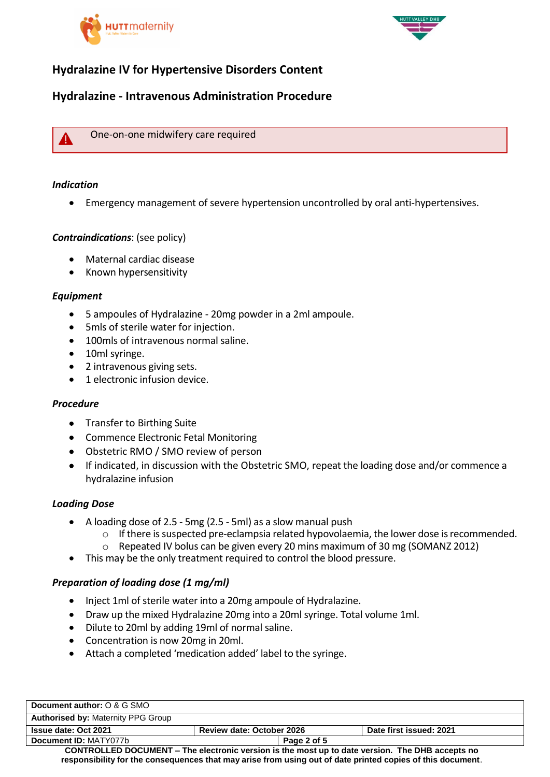



# **Hydralazine IV for Hypertensive Disorders Content**

# **Hydralazine - Intravenous Administration Procedure**



One-on-one midwifery care required

### *Indication*

Emergency management of severe hypertension uncontrolled by oral anti-hypertensives.

### *Contraindications*: (see policy)

- Maternal cardiac disease
- Known hypersensitivity

## *Equipment*

- 5 ampoules of Hydralazine 20mg powder in a 2ml ampoule.
- 5mls of sterile water for injection.
- 100mls of intravenous normal saline.
- 10ml syringe.
- 2 intravenous giving sets.
- 1 electronic infusion device.

### *Procedure*

- Transfer to Birthing Suite
- Commence Electronic Fetal Monitoring
- Obstetric RMO / SMO review of person
- If indicated, in discussion with the Obstetric SMO, repeat the loading dose and/or commence a hydralazine infusion

### *Loading Dose*

- A loading dose of 2.5 5mg (2.5 5ml) as a slow manual push
	- o If there is suspected pre-eclampsia related hypovolaemia, the lower dose is recommended.
	- o Repeated IV bolus can be given every 20 mins maximum of 30 mg (SOMANZ 2012)
- This may be the only treatment required to control the blood pressure.

### *Preparation of loading dose (1 mg/ml)*

- Inject 1ml of sterile water into a 20mg ampoule of Hydralazine.
- Draw up the mixed Hydralazine 20mg into a 20ml syringe. Total volume 1ml.
- Dilute to 20ml by adding 19ml of normal saline.
- Concentration is now 20mg in 20ml.
- Attach a completed 'medication added' label to the syringe.

| Document author: O & G SMO                                                                                 |                                  |                         |
|------------------------------------------------------------------------------------------------------------|----------------------------------|-------------------------|
| <b>Authorised by: Maternity PPG Group</b>                                                                  |                                  |                         |
| <b>Issue date: Oct 2021</b>                                                                                | <b>Review date: October 2026</b> | Date first issued: 2021 |
| Document ID: MATY077b                                                                                      | Page 2 of 5                      |                         |
| <b>CONTROLLED DOCUMENT – The electronic version is the most up to date version. The DHB accepts no</b>     |                                  |                         |
| responsibility for the consequences that may arise from using out of date printed copies of this document. |                                  |                         |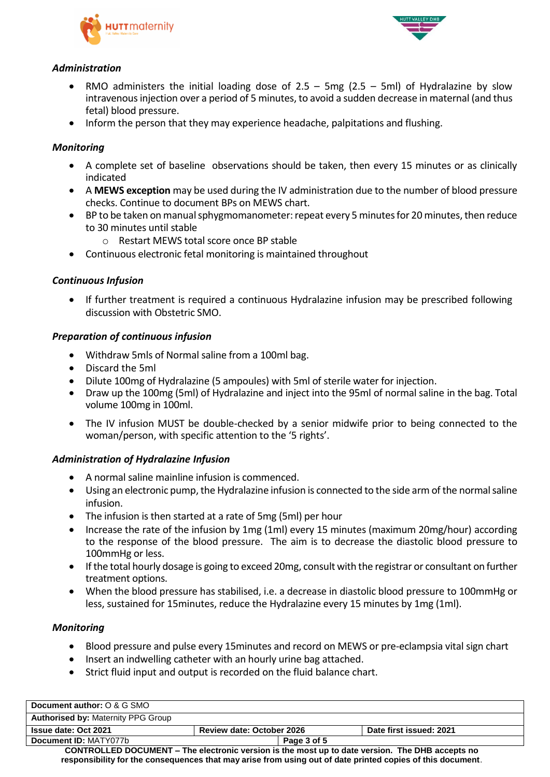



## *Administration*

- RMO administers the initial loading dose of  $2.5 5$ mg ( $2.5 5$ ml) of Hydralazine by slow intravenous injection over a period of 5 minutes, to avoid a sudden decrease in maternal (and thus fetal) blood pressure.
- Inform the person that they may experience headache, palpitations and flushing.

## *Monitoring*

- A complete set of baseline observations should be taken, then every 15 minutes or as clinically indicated
- A **MEWS exception** may be used during the IV administration due to the number of blood pressure checks. Continue to document BPs on MEWS chart.
- BP to be taken on manual sphygmomanometer: repeat every 5 minutes for 20 minutes, then reduce to 30 minutes until stable
	- o Restart MEWS total score once BP stable
- Continuous electronic fetal monitoring is maintained throughout

## *Continuous Infusion*

 If further treatment is required a continuous Hydralazine infusion may be prescribed following discussion with Obstetric SMO.

### *Preparation of continuous infusion*

- Withdraw 5mls of Normal saline from a 100ml bag.
- Discard the 5ml
- Dilute 100mg of Hydralazine (5 ampoules) with 5ml of sterile water for injection.
- Draw up the 100mg (5ml) of Hydralazine and inject into the 95ml of normal saline in the bag. Total volume 100mg in 100ml.
- The IV infusion MUST be double-checked by a senior midwife prior to being connected to the woman/person, with specific attention to the '5 rights'.

### *Administration of Hydralazine Infusion*

- A normal saline mainline infusion is commenced.
- Using an electronic pump, the Hydralazine infusion is connected to the side arm of the normal saline infusion.
- The infusion is then started at a rate of 5mg (5ml) per hour
- Increase the rate of the infusion by 1mg (1ml) every 15 minutes (maximum 20mg/hour) according to the response of the blood pressure. The aim is to decrease the diastolic blood pressure to 100mmHg or less.
- If the total hourly dosage is going to exceed 20mg, consult with the registrar or consultant on further treatment options.
- When the blood pressure has stabilised, i.e. a decrease in diastolic blood pressure to 100mmHg or less, sustained for 15minutes, reduce the Hydralazine every 15 minutes by 1mg (1ml).

### *Monitoring*

- Blood pressure and pulse every 15minutes and record on MEWS or pre-eclampsia vital sign chart
- Insert an indwelling catheter with an hourly urine bag attached.
- Strict fluid input and output is recorded on the fluid balance chart.

| Document author: O & G SMO                                                                             |                           |             |                         |
|--------------------------------------------------------------------------------------------------------|---------------------------|-------------|-------------------------|
| <b>Authorised by: Maternity PPG Group</b>                                                              |                           |             |                         |
| <b>Issue date: Oct 2021</b>                                                                            | Review date: October 2026 |             | Date first issued: 2021 |
| Document ID: MATY077b                                                                                  |                           | Page 3 of 5 |                         |
| <b>CONTROLLED DOCUMENT – The electronic version is the most up to date version. The DHB accepts no</b> |                           |             |                         |

**CONTROLLED DOCUMENT – The electronic version is the most up to date version. The DHB accepts no responsibility for the consequences that may arise from using out of date printed copies of this document**.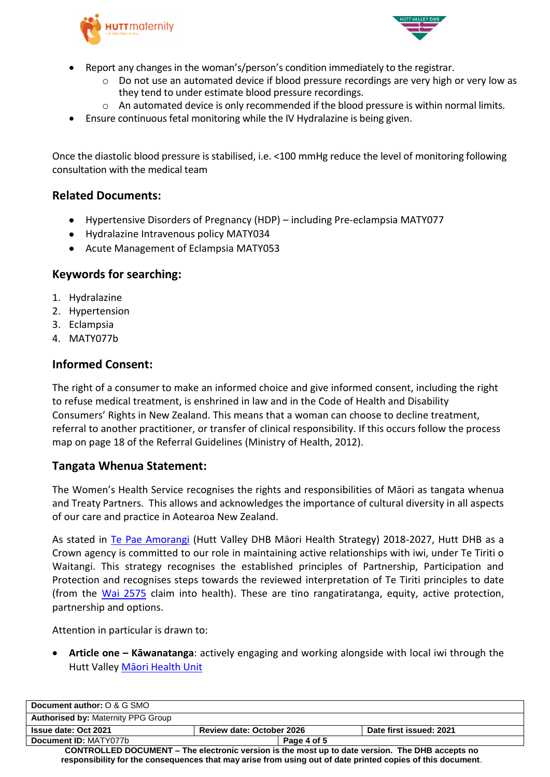



- Report any changes in the woman's/person's condition immediately to the registrar.
	- o Do not use an automated device if blood pressure recordings are very high or very low as they tend to under estimate blood pressure recordings.
	- o An automated device is only recommended if the blood pressure is within normal limits.
- Ensure continuous fetal monitoring while the IV Hydralazine is being given.

Once the diastolic blood pressure is stabilised, i.e. <100 mmHg reduce the level of monitoring following consultation with the medical team

# **Related Documents:**

- Hypertensive Disorders of Pregnancy (HDP) including Pre-eclampsia MATY077
- Hydralazine Intravenous policy MATY034
- Acute Management of Eclampsia MATY053

# **Keywords for searching:**

- 1. Hydralazine
- 2. Hypertension
- 3. Eclampsia
- 4. MATY077b

# **Informed Consent:**

The right of a consumer to make an informed choice and give informed consent, including the right to refuse medical treatment, is enshrined in law and in the Code of Health and Disability Consumers' Rights in New Zealand. This means that a woman can choose to decline treatment, referral to another practitioner, or transfer of clinical responsibility. If this occurs follow the process map on page 18 of the Referral Guidelines (Ministry of Health, 2012).

# **Tangata Whenua Statement:**

The Women's Health Service recognises the rights and responsibilities of Māori as tangata whenua and Treaty Partners. This allows and acknowledges the importance of cultural diversity in all aspects of our care and practice in Aotearoa New Zealand.

As stated in [Te Pae Amorangi](http://www.huttvalleydhb.org.nz/about-us/reports-and-publications/te-pae-amorangi/) (Hutt Valley DHB Māori Health Strategy) 2018-2027, Hutt DHB as a Crown agency is committed to our role in maintaining active relationships with iwi, under Te Tiriti o Waitangi. This strategy recognises the established principles of Partnership, Participation and Protection and recognises steps towards the reviewed interpretation of Te Tiriti principles to date (from the [Wai 2575](https://www.health.govt.nz/our-work/populations/maori-health/wai-2575-health-services-and-outcomes-kaupapa-inquiry) claim into health). These are tino rangatiratanga, equity, active protection, partnership and options.

Attention in particular is drawn to:

 **Article one – Kāwanatanga**: actively engaging and working alongside with local iwi through the Hutt Valley [Māori Health Unit](http://intranet.huttvalleydhb.org.nz/our-dhb/departments/maori-health-unit/)

| Document author: O & G SMO                                                                                                                                                                                           |                                  |                         |
|----------------------------------------------------------------------------------------------------------------------------------------------------------------------------------------------------------------------|----------------------------------|-------------------------|
| <b>Authorised by: Maternity PPG Group</b>                                                                                                                                                                            |                                  |                         |
| Issue date: Oct 2021                                                                                                                                                                                                 | <b>Review date: October 2026</b> | Date first issued: 2021 |
| Document ID: MATY077b                                                                                                                                                                                                | Page 4 of 5                      |                         |
| <b>CONTROLLED DOCUMENT – The electronic version is the most up to date version. The DHB accepts no</b><br>responsibility for the consequences that may arise from using out of date printed copies of this document. |                                  |                         |